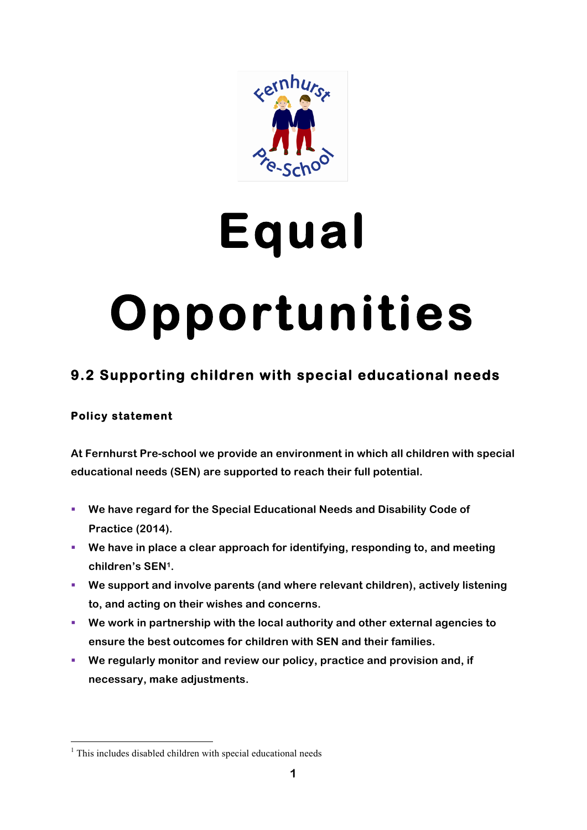

# **Equal Opportunities**

## **9.2 Supporting children with special educational needs**

### **Policy statement**

**At Fernhurst Pre-school we provide an environment in which all children with special educational needs (SEN) are supported to reach their full potential.**

- § **We have regard for the Special Educational Needs and Disability Code of Practice (2014).**
- We have in place a clear approach for identifying, responding to, and meeting **children's SEN1.**
- We support and involve parents (and where relevant children), actively listening **to, and acting on their wishes and concerns.**
- § **We work in partnership with the local authority and other external agencies to ensure the best outcomes for children with SEN and their families.**
- § **We regularly monitor and review our policy, practice and provision and, if necessary, make adjustments.**

 $1$ . This includes disabled children with special educational needs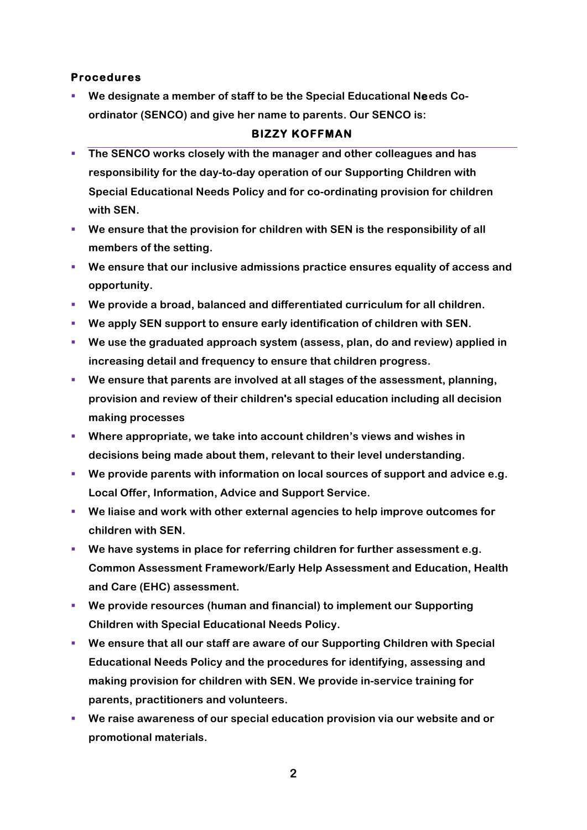#### **Procedures**

§ **We designate a member of staff to be the Special Educational Needs Coordinator (SENCO) and give her name to parents. Our SENCO is:** 

#### **BIZZY KOFFMAN**

- § **The SENCO works closely with the manager and other colleagues and has responsibility for the day-to-day operation of our Supporting Children with Special Educational Needs Policy and for co-ordinating provision for children with SEN.**
- § **We ensure that the provision for children with SEN is the responsibility of all members of the setting.**
- We ensure that our inclusive admissions practice ensures equality of access and **opportunity.**
- § **We provide a broad, balanced and differentiated curriculum for all children.**
- § **We apply SEN support to ensure early identification of children with SEN.**
- § **We use the graduated approach system (assess, plan, do and review) applied in increasing detail and frequency to ensure that children progress.**
- § **We ensure that parents are involved at all stages of the assessment, planning, provision and review of their children's special education including all decision making processes**
- § **Where appropriate, we take into account children's views and wishes in decisions being made about them, relevant to their level understanding.**
- We provide parents with information on local sources of support and advice e.g. **Local Offer, Information, Advice and Support Service.**
- We liaise and work with other external agencies to help improve outcomes for **children with SEN.**
- We have systems in place for referring children for further assessment e.g. **Common Assessment Framework/Early Help Assessment and Education, Health and Care (EHC) assessment.**
- § **We provide resources (human and financial) to implement our Supporting Children with Special Educational Needs Policy.**
- We ensure that all our staff are aware of our Supporting Children with Special **Educational Needs Policy and the procedures for identifying, assessing and making provision for children with SEN. We provide in-service training for parents, practitioners and volunteers.**
- § **We raise awareness of our special education provision via our website and or promotional materials.**